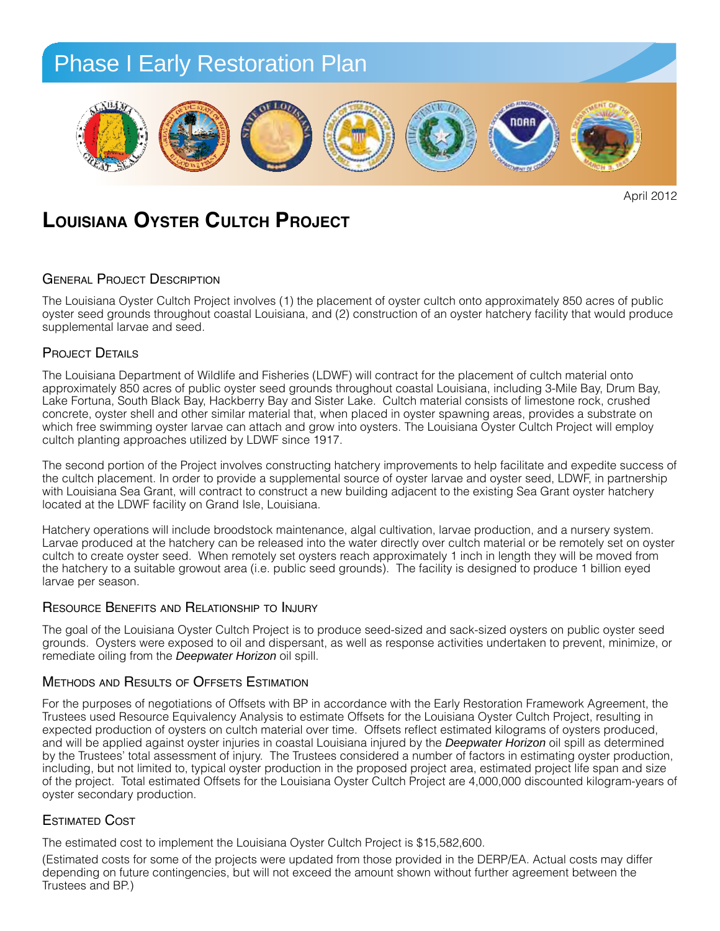

**Louisiana Oyster Cultch Project**

## **GENERAL PROJECT DESCRIPTION**

The Louisiana Oyster Cultch Project involves (1) the placement of oyster cultch onto approximately 850 acres of public oyster seed grounds throughout coastal Louisiana, and (2) construction of an oyster hatchery facility that would produce supplemental larvae and seed.

#### PROJECT DETAILS  $\tau$  Shores and Orange Beach, State of Alabama (Gulf State  $\tau$  State Park), and the U.S. Fish and the U.S. Fish and the U.S. Fish and the U.S. Fish and the U.S. Fish and the U.S. Fish and the U.S. Fish and the U.S. Fish

The Louisiana Department of Wildlife and Fisheries (LDWF) will contract for the placement of cultch material onto approximately 850 acres of public oyster seed grounds throughout coastal Louisiana, including 3-Mile Bay, Drum Bay, Lake Fortuna, South Black Bay, Hackberry Bay and Sister Lake. Cultch material consists of limestone rock, crushed lectively own and/or manage approximately 18 to 20 miles of dune habitat. *This restoration project would*  concrete, oyster shell and other similar material that, when placed in oyster spawning areas, provides a substrate on concrete, oyster shen and other similar material that, when placed in oyster spawning areas, provides a substrate on<br>which free swimming oyster larvae can attach and grow into oysters. The Louisiana Oyster Cultch Project w cultch planting approaches utilized by LDWF since 1917.

The second portion of the Project involves constructing hatchery improvements to help facilitate and expedite success of the cultch placement. In order to provide a supplemental source of oyster larvae and oyster seed, LDWF, in partnership with Louisiana Sea Grant, will contract to construct a new building adjacent to the existing Sea Grant oyster hatchery<br>Iocated at the LDWE facility on Grand Isle, Louisiana located at the LDWF facility on Grand Isle, Louisiana.

Hatchery operations will include broodstock maintenance, algal cultivation, larvae production, and a nursery system. Larvae produced at the hatchery can be released into the water directly over cultch material or be remotely set on oyster cultch to create oyster seed. When remotely set oysters reach approximately 1 inch in length they will be moved from the hatchery to a suitable growout area (i.e. public seed grounds). The facility is designed to produce 1 billion eyed *Planting:* end all plants will be grown from the grown from seeding the grown from the large derived from seeds or cuttings of the derived per season. *i* for doolghod to produce it simon agod

## Resource Benefits and Relationship to Injury from the Alabama coast or North Florida to ensure ap-

The goal of the Louisiana Oyster Cultch Project is to produce seed-sized and sack-sized oysters on public oyster seed<br>The goal of the Louisiana Oyster Cultch Project is to produce seed-sized and sack-sized oysters on publi grounds. Oysters were exposed to oil and dispersant, as well as response activities undertaken to prevent, minimize, or grounds. Oysters were exposed to oil and dispersant, as well<br>remediate oiling from the *Deepwater Horizon* oil spill.

### Methods and Results of Offsets Estimation  $\overline{P}$  defined be installed for ensure that sufficient  $\overline{P}$  $\overline{O}$  DS AND **NESULTS** OF **OFFSETS** CSTIMATION

For the purposes of negotiations of Offsets with BP in accordance with the Early Restoration Framework Agreement, the For the purposes of negotiations of Offsets with BP in accordance with the Early Restoration Framework Agreement, ti<br>Trustees used Resource Equivalency Analysis to estimate Offsets for the Louisiana Oyster Cultch Project, expected production of oysters on cultch material over time. Offsets reflect estimated kilograms of oysters produced, *Sand Fencing:* and will be applied against oyster injuries in coastal Louisiana injured by the *Deepwater Horizon* oil spill as determined by the Trustees' total assessment of injury. The Trustees considered a number of factors in estimating oyster production, including, but not limited to, typical oyster production in the proposed project area, estimated project life span and size including, but not immed to, typical byster production in the proposed project area, estimated project life span and size<br>of the project. Total estimated Offsets for the Louisiana Oyster Cultch Project are 4,000,000 discou oyster secondary production. *Signage:* morning glories and railroad vine),

## Estimated Cost  $\mathbf{F}$  is the placed on the placed on the placed on the project area at a rate of 10 to 25 to 25 to 25 to 25 to 25 to 25 to 25 to 25 to 25 to 25 to 25 to 25 to 25 to 25 to 25 to 25 to 25 to 25 to 25 to 25 to 25 to 25 to

The estimated cost to implement the Louisiana Oyster Cultch Project is \$15,582,600.

(Estimated costs for some of the projects were updated from those provided in the DERP/EA. Actual costs may differ depending on future contingencies, but will not exceed the amount shown without further agreement between the Trustees and BP.)

April 2012